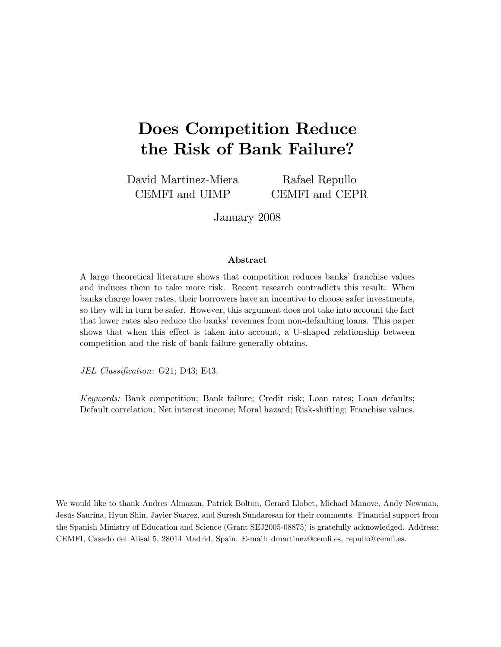# Does Competition Reduce the Risk of Bank Failure?

David Martinez-Miera CEMFI and UIMP

Rafael Repullo CEMFI and CEPR

January 2008

#### Abstract

A large theoretical literature shows that competition reduces banks' franchise values and induces them to take more risk. Recent research contradicts this result: When banks charge lower rates, their borrowers have an incentive to choose safer investments, so they will in turn be safer. However, this argument does not take into account the fact that lower rates also reduce the banks' revenues from non-defaulting loans. This paper shows that when this effect is taken into account, a U-shaped relationship between competition and the risk of bank failure generally obtains.

JEL Classification: G21; D43; E43.

Keywords: Bank competition; Bank failure; Credit risk; Loan rates; Loan defaults; Default correlation; Net interest income; Moral hazard; Risk-shifting; Franchise values.

We would like to thank Andres Almazan, Patrick Bolton, Gerard Llobet, Michael Manove, Andy Newman, Jesús Saurina, Hyun Shin, Javier Suarez, and Suresh Sundaresan for their comments. Financial support from the Spanish Ministry of Education and Science (Grant SEJ2005-08875) is gratefully acknowledged. Address: CEMFI, Casado del Alisal 5, 28014 Madrid, Spain. E-mail: dmartinez@cemÖ.es, repullo@cemÖ.es.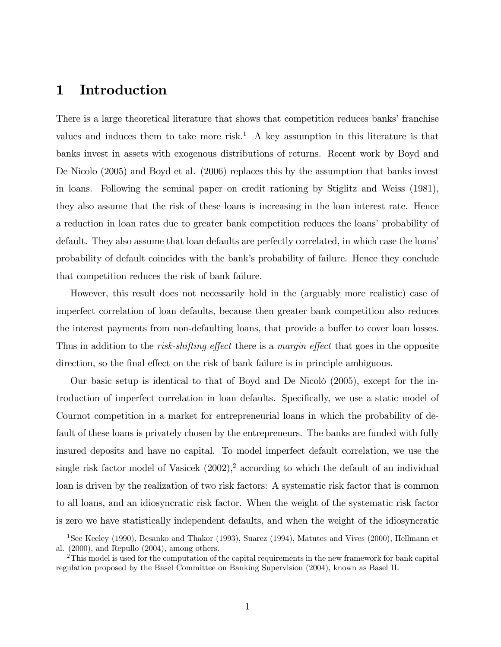### 1 Introduction

There is a large theoretical literature that shows that competition reduces banks' franchise values and induces them to take more risk.<sup>1</sup> A key assumption in this literature is that banks invest in assets with exogenous distributions of returns. Recent work by Boyd and De Nicolo (2005) and Boyd et al. (2006) replaces this by the assumption that banks invest in loans. Following the seminal paper on credit rationing by Stiglitz and Weiss (1981), they also assume that the risk of these loans is increasing in the loan interest rate. Hence a reduction in loan rates due to greater bank competition reduces the loans' probability of default. They also assume that loan defaults are perfectly correlated, in which case the loans' probability of default coincides with the bankís probability of failure. Hence they conclude that competition reduces the risk of bank failure.

However, this result does not necessarily hold in the (arguably more realistic) case of imperfect correlation of loan defaults, because then greater bank competition also reduces the interest payments from non-defaulting loans, that provide a buffer to cover loan losses. Thus in addition to the risk-shifting effect there is a margin effect that goes in the opposite direction, so the final effect on the risk of bank failure is in principle ambiguous.

Our basic setup is identical to that of Boyd and De Nicolò  $(2005)$ , except for the introduction of imperfect correlation in loan defaults. Specifically, we use a static model of Cournot competition in a market for entrepreneurial loans in which the probability of default of these loans is privately chosen by the entrepreneurs. The banks are funded with fully insured deposits and have no capital. To model imperfect default correlation, we use the single risk factor model of Vasicek  $(2002)$ ,<sup>2</sup> according to which the default of an individual loan is driven by the realization of two risk factors: A systematic risk factor that is common to all loans, and an idiosyncratic risk factor. When the weight of the systematic risk factor is zero we have statistically independent defaults, and when the weight of the idiosyncratic

<sup>&</sup>lt;sup>1</sup>See Keeley (1990), Besanko and Thakor (1993), Suarez (1994), Matutes and Vives (2000), Hellmann et al. (2000), and Repullo (2004), among others.

<sup>&</sup>lt;sup>2</sup>This model is used for the computation of the capital requirements in the new framework for bank capital regulation proposed by the Basel Committee on Banking Supervision (2004), known as Basel II.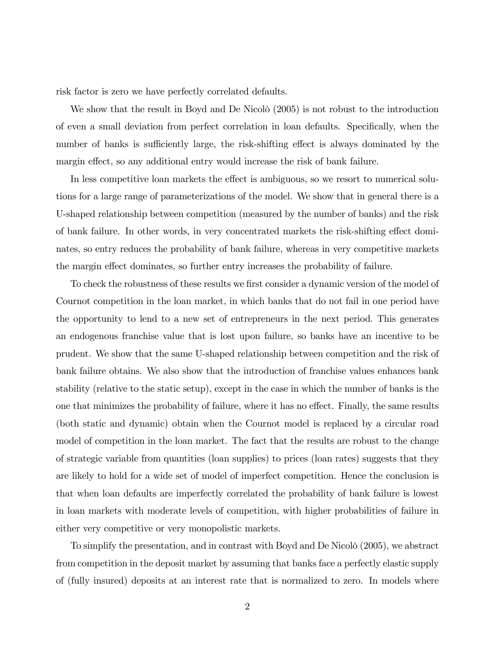risk factor is zero we have perfectly correlated defaults.

We show that the result in Boyd and De Nicolò  $(2005)$  is not robust to the introduction of even a small deviation from perfect correlation in loan defaults. Specifically, when the number of banks is sufficiently large, the risk-shifting effect is always dominated by the margin effect, so any additional entry would increase the risk of bank failure.

In less competitive loan markets the effect is ambiguous, so we resort to numerical solutions for a large range of parameterizations of the model. We show that in general there is a U-shaped relationship between competition (measured by the number of banks) and the risk of bank failure. In other words, in very concentrated markets the risk-shifting effect dominates, so entry reduces the probability of bank failure, whereas in very competitive markets the margin effect dominates, so further entry increases the probability of failure.

To check the robustness of these results we first consider a dynamic version of the model of Cournot competition in the loan market, in which banks that do not fail in one period have the opportunity to lend to a new set of entrepreneurs in the next period: This generates an endogenous franchise value that is lost upon failure, so banks have an incentive to be prudent. We show that the same U-shaped relationship between competition and the risk of bank failure obtains. We also show that the introduction of franchise values enhances bank stability (relative to the static setup), except in the case in which the number of banks is the one that minimizes the probability of failure, where it has no effect. Finally, the same results (both static and dynamic) obtain when the Cournot model is replaced by a circular road model of competition in the loan market. The fact that the results are robust to the change of strategic variable from quantities (loan supplies) to prices (loan rates) suggests that they are likely to hold for a wide set of model of imperfect competition. Hence the conclusion is that when loan defaults are imperfectly correlated the probability of bank failure is lowest in loan markets with moderate levels of competition, with higher probabilities of failure in either very competitive or very monopolistic markets.

To simplify the presentation, and in contrast with Boyd and De Nicolò (2005), we abstract from competition in the deposit market by assuming that banks face a perfectly elastic supply of (fully insured) deposits at an interest rate that is normalized to zero. In models where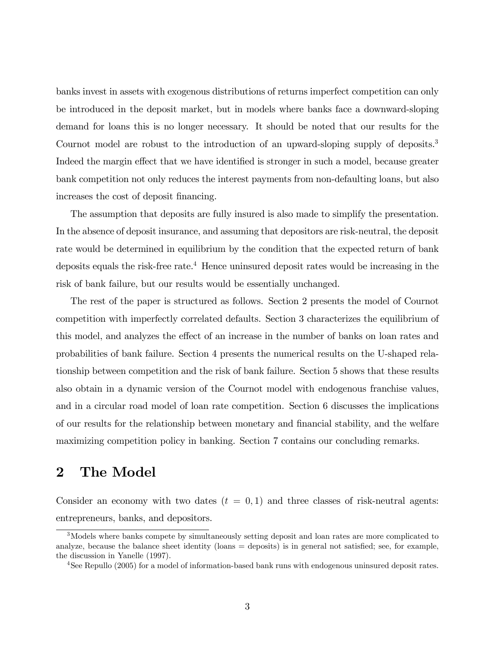banks invest in assets with exogenous distributions of returns imperfect competition can only be introduced in the deposit market, but in models where banks face a downward-sloping demand for loans this is no longer necessary. It should be noted that our results for the Cournot model are robust to the introduction of an upward-sloping supply of deposits.<sup>3</sup> Indeed the margin effect that we have identified is stronger in such a model, because greater bank competition not only reduces the interest payments from non-defaulting loans, but also increases the cost of deposit financing.

The assumption that deposits are fully insured is also made to simplify the presentation. In the absence of deposit insurance, and assuming that depositors are risk-neutral, the deposit rate would be determined in equilibrium by the condition that the expected return of bank deposits equals the risk-free rate.<sup>4</sup> Hence uninsured deposit rates would be increasing in the risk of bank failure, but our results would be essentially unchanged.

The rest of the paper is structured as follows. Section 2 presents the model of Cournot competition with imperfectly correlated defaults. Section 3 characterizes the equilibrium of this model, and analyzes the effect of an increase in the number of banks on loan rates and probabilities of bank failure. Section 4 presents the numerical results on the U-shaped relationship between competition and the risk of bank failure. Section 5 shows that these results also obtain in a dynamic version of the Cournot model with endogenous franchise values, and in a circular road model of loan rate competition. Section 6 discusses the implications of our results for the relationship between monetary and Önancial stability, and the welfare maximizing competition policy in banking. Section 7 contains our concluding remarks.

### 2 The Model

Consider an economy with two dates  $(t = 0, 1)$  and three classes of risk-neutral agents: entrepreneurs, banks, and depositors.

<sup>3</sup>Models where banks compete by simultaneously setting deposit and loan rates are more complicated to analyze, because the balance sheet identity (loans  $=$  deposits) is in general not satisfied; see, for example, the discussion in Yanelle (1997).

<sup>&</sup>lt;sup>4</sup>See Repullo (2005) for a model of information-based bank runs with endogenous uninsured deposit rates.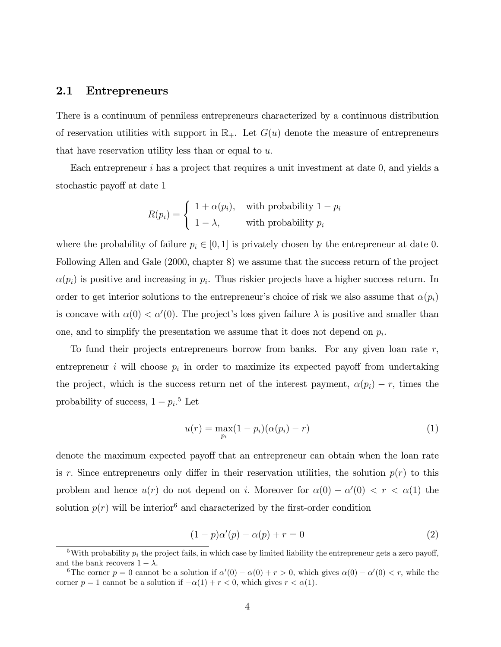#### 2.1 Entrepreneurs

There is a continuum of penniless entrepreneurs characterized by a continuous distribution of reservation utilities with support in  $\mathbb{R}_+$ . Let  $G(u)$  denote the measure of entrepreneurs that have reservation utility less than or equal to  $u$ .

Each entrepreneur  $i$  has a project that requires a unit investment at date  $0$ , and yields a stochastic payoff at date 1

$$
R(p_i) = \begin{cases} 1 + \alpha(p_i), & \text{with probability } 1 - p_i \\ 1 - \lambda, & \text{with probability } p_i \end{cases}
$$

where the probability of failure  $p_i \in [0, 1]$  is privately chosen by the entrepreneur at date 0. Following Allen and Gale (2000, chapter 8) we assume that the success return of the project  $\alpha(p_i)$  is positive and increasing in  $p_i$ . Thus riskier projects have a higher success return. In order to get interior solutions to the entrepreneur's choice of risk we also assume that  $\alpha(p_i)$ is concave with  $\alpha(0) < \alpha'(0)$ . The project's loss given failure  $\lambda$  is positive and smaller than one, and to simplify the presentation we assume that it does not depend on  $p_i$ .

To fund their projects entrepreneurs borrow from banks. For any given loan rate  $r$ , entrepreneur *i* will choose  $p_i$  in order to maximize its expected payoff from undertaking the project, which is the success return net of the interest payment,  $\alpha(p_i) - r$ , times the probability of success,  $1 - p_i$ <sup>5</sup> Let

$$
u(r) = \max_{p_i} (1 - p_i)(\alpha(p_i) - r)
$$
 (1)

denote the maximum expected payoff that an entrepreneur can obtain when the loan rate is r. Since entrepreneurs only differ in their reservation utilities, the solution  $p(r)$  to this problem and hence  $u(r)$  do not depend on *i*. Moreover for  $\alpha(0) - \alpha'(0) < r < \alpha(1)$  the solution  $p(r)$  will be interior<sup>6</sup> and characterized by the first-order condition

$$
(1-p)\alpha'(p) - \alpha(p) + r = 0 \tag{2}
$$

<sup>&</sup>lt;sup>5</sup>With probability  $p_i$  the project fails, in which case by limited liability the entrepreneur gets a zero payoff, and the bank recovers  $1 - \lambda$ .

<sup>&</sup>lt;sup>6</sup>The corner  $p = 0$  cannot be a solution if  $\alpha'(0) - \alpha(0) + r > 0$ , which gives  $\alpha(0) - \alpha'(0) < r$ , while the corner  $p = 1$  cannot be a solution if  $-\alpha(1) + r < 0$ , which gives  $r < \alpha(1)$ .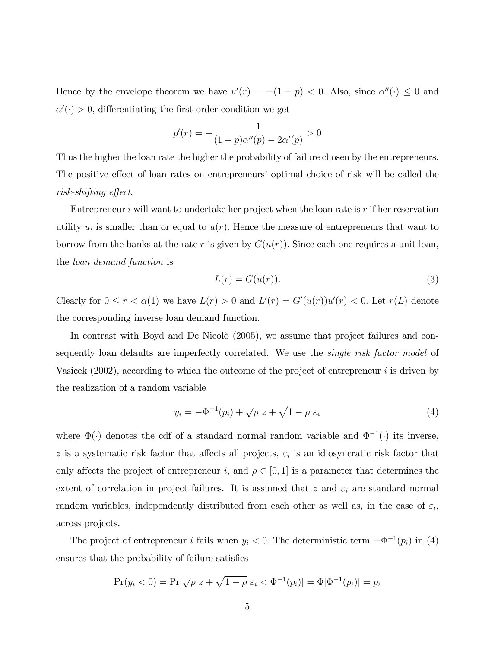Hence by the envelope theorem we have  $u'(r) = -(1 - p) < 0$ . Also, since  $\alpha''(\cdot) \leq 0$  and  $\alpha'(\cdot) > 0$ , differentiating the first-order condition we get

$$
p'(r) = -\frac{1}{(1-p)\alpha''(p) - 2\alpha'(p)} > 0
$$

Thus the higher the loan rate the higher the probability of failure chosen by the entrepreneurs. The positive effect of loan rates on entrepreneurs' optimal choice of risk will be called the  $risk\text{-}shifting\ effect.$ 

Entrepreneur  $i$  will want to undertake her project when the loan rate is  $r$  if her reservation utility  $u_i$  is smaller than or equal to  $u(r)$ . Hence the measure of entrepreneurs that want to borrow from the banks at the rate r is given by  $G(u(r))$ . Since each one requires a unit loan, the loan demand function is

$$
L(r) = G(u(r)).
$$
\n(3)

Clearly for  $0 \le r < \alpha(1)$  we have  $L(r) > 0$  and  $L'(r) = G'(u(r))u'(r) < 0$ . Let  $r(L)$  denote the corresponding inverse loan demand function.

In contrast with Boyd and De Nicolò  $(2005)$ , we assume that project failures and consequently loan defaults are imperfectly correlated. We use the *single risk factor model* of Vasicek  $(2002)$ , according to which the outcome of the project of entrepreneur i is driven by the realization of a random variable

$$
y_i = -\Phi^{-1}(p_i) + \sqrt{\rho} z + \sqrt{1-\rho} \varepsilon_i
$$
\n(4)

where  $\Phi(\cdot)$  denotes the cdf of a standard normal random variable and  $\Phi^{-1}(\cdot)$  its inverse, z is a systematic risk factor that affects all projects,  $\varepsilon_i$  is an idiosyncratic risk factor that only affects the project of entrepreneur i, and  $\rho \in [0, 1]$  is a parameter that determines the extent of correlation in project failures. It is assumed that z and  $\varepsilon_i$  are standard normal random variables, independently distributed from each other as well as, in the case of  $\varepsilon_i$ , across projects.

The project of entrepreneur *i* fails when  $y_i < 0$ . The deterministic term  $-\Phi^{-1}(p_i)$  in (4) ensures that the probability of failure satisfies

$$
Pr(y_i < 0) = Pr[\sqrt{\rho} \ z + \sqrt{1 - \rho} \ \varepsilon_i < \Phi^{-1}(p_i)] = \Phi[\Phi^{-1}(p_i)] = p_i
$$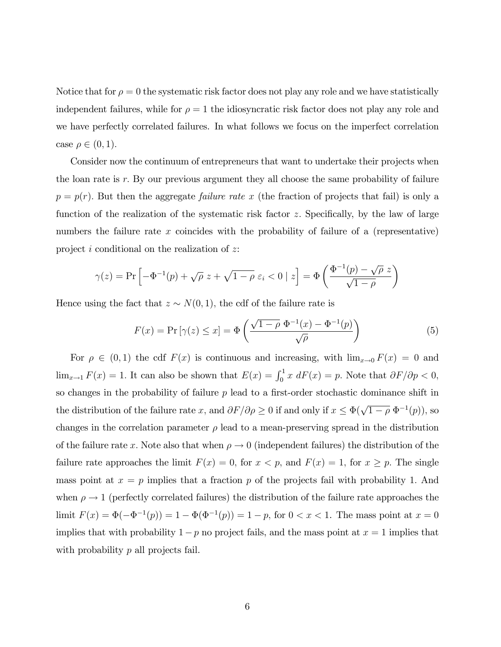Notice that for  $\rho = 0$  the systematic risk factor does not play any role and we have statistically independent failures, while for  $\rho = 1$  the idiosyncratic risk factor does not play any role and we have perfectly correlated failures. In what follows we focus on the imperfect correlation case  $\rho \in (0, 1)$ .

Consider now the continuum of entrepreneurs that want to undertake their projects when the loan rate is  $r$ . By our previous argument they all choose the same probability of failure  $p = p(r)$ . But then the aggregate *failure rate x* (the fraction of projects that fail) is only a function of the realization of the systematic risk factor  $z$ . Specifically, by the law of large numbers the failure rate  $x$  coincides with the probability of failure of a (representative) project i conditional on the realization of z:

$$
\gamma(z) = \Pr\left[-\Phi^{-1}(p) + \sqrt{\rho} \ z + \sqrt{1-\rho} \ \varepsilon_i < 0 \mid z\right] = \Phi\left(\frac{\Phi^{-1}(p) - \sqrt{\rho} \ z}{\sqrt{1-\rho}}\right)
$$

Hence using the fact that  $z \sim N(0, 1)$ , the cdf of the failure rate is

$$
F(x) = \Pr\left[\gamma(z) \le x\right] = \Phi\left(\frac{\sqrt{1-\rho} \ \Phi^{-1}(x) - \Phi^{-1}(p)}{\sqrt{\rho}}\right) \tag{5}
$$

For  $\rho \in (0,1)$  the cdf  $F(x)$  is continuous and increasing, with  $\lim_{x\to 0} F(x) = 0$  and  $\lim_{x\to 1} F(x) = 1$ . It can also be shown that  $E(x) = \int_0^1 x \, dF(x) = p$ . Note that  $\partial F/\partial p < 0$ , so changes in the probability of failure  $p$  lead to a first-order stochastic dominance shift in the distribution of the failure rate x, and  $\partial F/\partial \rho \ge 0$  if and only if  $x \le \Phi(\sqrt{1-\rho} \Phi^{-1}(p))$ , so changes in the correlation parameter  $\rho$  lead to a mean-preserving spread in the distribution of the failure rate x. Note also that when  $\rho \to 0$  (independent failures) the distribution of the failure rate approaches the limit  $F(x) = 0$ , for  $x < p$ , and  $F(x) = 1$ , for  $x \ge p$ . The single mass point at  $x = p$  implies that a fraction p of the projects fail with probability 1. And when  $\rho \rightarrow 1$  (perfectly correlated failures) the distribution of the failure rate approaches the limit  $F(x) = \Phi(-\Phi^{-1}(p)) = 1 - \Phi(\Phi^{-1}(p)) = 1 - p$ , for  $0 < x < 1$ . The mass point at  $x = 0$ implies that with probability  $1-p$  no project fails, and the mass point at  $x = 1$  implies that with probability p all projects fail.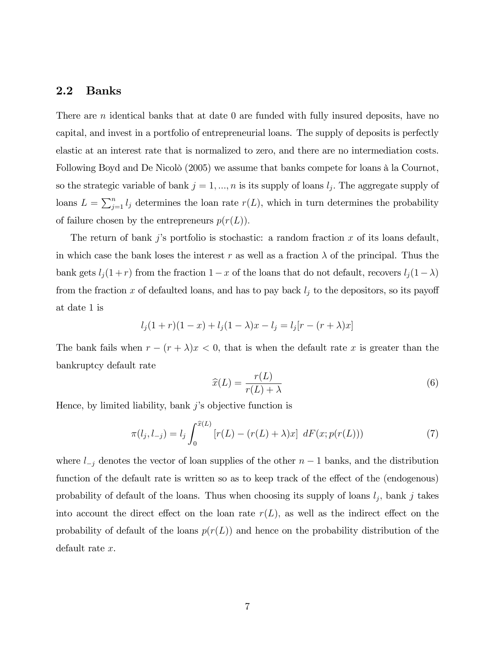#### 2.2 Banks

There are *n* identical banks that at date 0 are funded with fully insured deposits, have no capital, and invest in a portfolio of entrepreneurial loans. The supply of deposits is perfectly elastic at an interest rate that is normalized to zero, and there are no intermediation costs. Following Boyd and De Nicolò (2005) we assume that banks compete for loans à la Cournot, so the strategic variable of bank  $j = 1, ..., n$  is its supply of loans  $l_j$ . The aggregate supply of loans  $L = \sum_{j=1}^{n} l_j$  determines the loan rate  $r(L)$ , which in turn determines the probability of failure chosen by the entrepreneurs  $p(r(L))$ .

The return of bank j's portfolio is stochastic: a random fraction  $x$  of its loans default, in which case the bank loses the interest r as well as a fraction  $\lambda$  of the principal. Thus the bank gets  $l_j(1+r)$  from the fraction  $1-x$  of the loans that do not default, recovers  $l_j(1-\lambda)$ from the fraction x of defaulted loans, and has to pay back  $l_j$  to the depositors, so its payoff at date 1 is

$$
l_j(1+r)(1-x) + l_j(1-\lambda)x - l_j = l_j[r - (r + \lambda)x]
$$

The bank fails when  $r - (r + \lambda)x < 0$ , that is when the default rate x is greater than the bankruptcy default rate

$$
\widehat{x}(L) = \frac{r(L)}{r(L) + \lambda} \tag{6}
$$

Hence, by limited liability, bank  $j$ 's objective function is

$$
\pi(l_j, l_{-j}) = l_j \int_0^{\widehat{x}(L)} [r(L) - (r(L) + \lambda)x] dF(x; p(r(L))) \tag{7}
$$

where  $l_{-j}$  denotes the vector of loan supplies of the other  $n-1$  banks, and the distribution function of the default rate is written so as to keep track of the effect of the (endogenous) probability of default of the loans. Thus when choosing its supply of loans  $l_j$ , bank j takes into account the direct effect on the loan rate  $r(L)$ , as well as the indirect effect on the probability of default of the loans  $p(r(L))$  and hence on the probability distribution of the default rate x.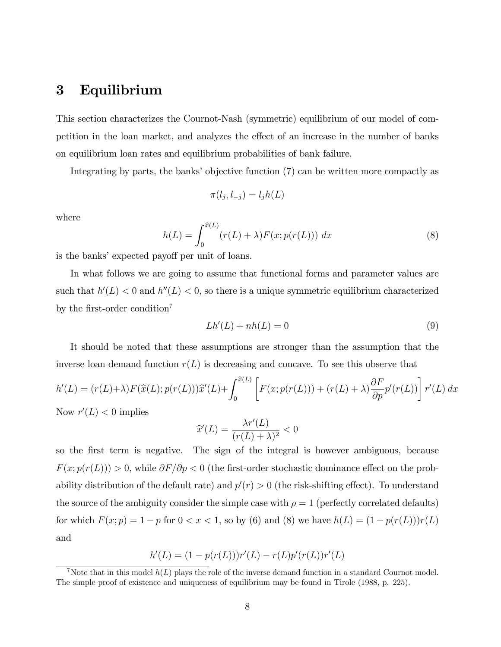### 3 Equilibrium

This section characterizes the Cournot-Nash (symmetric) equilibrium of our model of competition in the loan market, and analyzes the effect of an increase in the number of banks on equilibrium loan rates and equilibrium probabilities of bank failure.

Integrating by parts, the banks' objective function  $(7)$  can be written more compactly as

$$
\pi(l_j, l_{-j}) = l_j h(L)
$$

where

$$
h(L) = \int_0^{\widehat{x}(L)} (r(L) + \lambda) F(x; p(r(L))) dx
$$
\n(8)

is the banks' expected payoff per unit of loans.

In what follows we are going to assume that functional forms and parameter values are such that  $h'(L) < 0$  and  $h''(L) < 0$ , so there is a unique symmetric equilibrium characterized by the first-order condition<sup>7</sup>

$$
Lh'(L) + nh(L) = 0 \tag{9}
$$

It should be noted that these assumptions are stronger than the assumption that the inverse loan demand function  $r(L)$  is decreasing and concave. To see this observe that

$$
h'(L) = (r(L) + \lambda) F(\hat{x}(L); p(r(L)))\hat{x}'(L) + \int_0^{\hat{x}(L)} \left[ F(x; p(r(L))) + (r(L) + \lambda) \frac{\partial F}{\partial p} p'(r(L)) \right] r'(L) dx
$$
  
Now  $x'(L) \le 0$  implies

Now  $r'(L) < 0$  implies

$$
\widehat{x}'(L) = \frac{\lambda r'(L)}{(r(L) + \lambda)^2} < 0
$$

so the first term is negative. The sign of the integral is however ambiguous, because  $F(x; p(r(L))) > 0$ , while  $\partial F/\partial p < 0$  (the first-order stochastic dominance effect on the probability distribution of the default rate) and  $p'(r) > 0$  (the risk-shifting effect). To understand the source of the ambiguity consider the simple case with  $\rho = 1$  (perfectly correlated defaults) for which  $F(x; p) = 1 - p$  for  $0 < x < 1$ , so by (6) and (8) we have  $h(L) = (1 - p(r(L)))r(L)$ and

$$
h'(L) = (1 - p(r(L)))r'(L) - r(L)p'(r(L))r'(L)
$$

<sup>&</sup>lt;sup>7</sup>Note that in this model  $h(L)$  plays the role of the inverse demand function in a standard Cournot model. The simple proof of existence and uniqueness of equilibrium may be found in Tirole (1988, p. 225).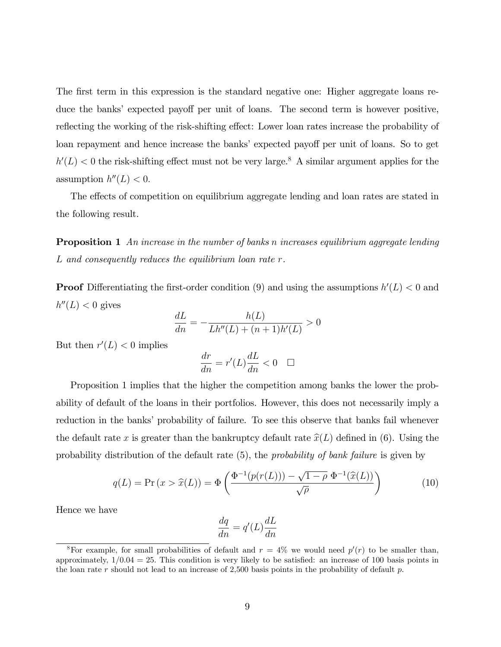The first term in this expression is the standard negative one: Higher aggregate loans reduce the banks' expected payoff per unit of loans. The second term is however positive, reflecting the working of the risk-shifting effect: Lower loan rates increase the probability of loan repayment and hence increase the banks' expected payoff per unit of loans. So to get  $h'(L) < 0$  the risk-shifting effect must not be very large.<sup>8</sup> A similar argument applies for the assumption  $h''(L) < 0$ .

The effects of competition on equilibrium aggregate lending and loan rates are stated in the following result.

**Proposition 1** An increase in the number of banks n increases equilibrium aggregate lending L and consequently reduces the equilibrium loan rate r.

**Proof** Differentiating the first-order condition (9) and using the assumptions  $h'(L) < 0$  and  $h''(L) < 0$  gives

$$
\frac{dL}{dn} = -\frac{h(L)}{Lh''(L) + (n+1)h'(L)} > 0
$$

But then  $r'(L) < 0$  implies

$$
\frac{dr}{dn}=r'(L)\frac{dL}{dn}<0 \quad \Box
$$

Proposition 1 implies that the higher the competition among banks the lower the probability of default of the loans in their portfolios. However, this does not necessarily imply a reduction in the banks' probability of failure. To see this observe that banks fail whenever the default rate x is greater than the bankruptcy default rate  $\hat{x}(L)$  defined in (6). Using the probability distribution of the default rate (5), the probability of bank failure is given by

$$
q(L) = \Pr(x > \hat{x}(L)) = \Phi\left(\frac{\Phi^{-1}(p(r(L))) - \sqrt{1 - \rho} \Phi^{-1}(\hat{x}(L))}{\sqrt{\rho}}\right) \tag{10}
$$

Hence we have

$$
\frac{dq}{dn} = q'(L)\frac{dL}{dn}
$$

<sup>&</sup>lt;sup>8</sup>For example, for small probabilities of default and  $r = 4\%$  we would need  $p'(r)$  to be smaller than, approximately,  $1/0.04 = 25$ . This condition is very likely to be satisfied: an increase of 100 basis points in the loan rate r should not lead to an increase of 2,500 basis points in the probability of default  $p$ .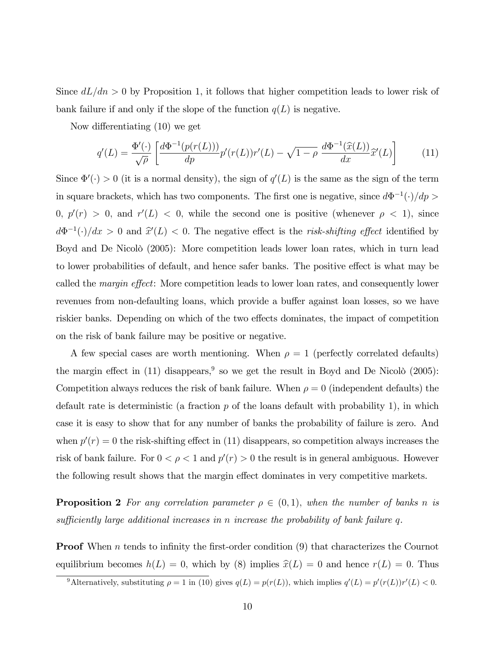Since  $dL/dn > 0$  by Proposition 1, it follows that higher competition leads to lower risk of bank failure if and only if the slope of the function  $q(L)$  is negative.

Now differentiating  $(10)$  we get

$$
q'(L) = \frac{\Phi'(\cdot)}{\sqrt{\rho}} \left[ \frac{d\Phi^{-1}(p(r(L)))}{dp} p'(r(L)) r'(L) - \sqrt{1-\rho} \frac{d\Phi^{-1}(\widehat{x}(L))}{dx} \widehat{x}'(L) \right]
$$
(11)

Since  $\Phi'(\cdot) > 0$  (it is a normal density), the sign of  $q'(L)$  is the same as the sign of the term in square brackets, which has two components. The first one is negative, since  $d\Phi^{-1}(\cdot)/dp >$  $0, p'(r) > 0$ , and  $r'(L) < 0$ , while the second one is positive (whenever  $\rho < 1$ ), since  $d\Phi^{-1}(\cdot)/dx > 0$  and  $\hat{x}'(L) < 0$ . The negative effect is the *risk-shifting effect* identified by Boyd and De Nicolò (2005): More competition leads lower loan rates, which in turn lead to lower probabilities of default, and hence safer banks. The positive effect is what may be called the *margin effect*: More competition leads to lower loan rates, and consequently lower revenues from non-defaulting loans, which provide a buffer against loan losses, so we have riskier banks. Depending on which of the two effects dominates, the impact of competition on the risk of bank failure may be positive or negative.

A few special cases are worth mentioning. When  $\rho = 1$  (perfectly correlated defaults) the margin effect in (11) disappears,<sup>9</sup> so we get the result in Boyd and De Nicolò (2005): Competition always reduces the risk of bank failure. When  $\rho = 0$  (independent defaults) the default rate is deterministic (a fraction  $p$  of the loans default with probability 1), in which case it is easy to show that for any number of banks the probability of failure is zero. And when  $p'(r) = 0$  the risk-shifting effect in (11) disappears, so competition always increases the risk of bank failure. For  $0 < \rho < 1$  and  $p'(r) > 0$  the result is in general ambiguous. However the following result shows that the margin effect dominates in very competitive markets.

**Proposition 2** For any correlation parameter  $\rho \in (0,1)$ , when the number of banks n is sufficiently large additional increases in n increase the probability of bank failure q.

**Proof** When n tends to infinity the first-order condition  $(9)$  that characterizes the Cournot equilibrium becomes  $h(L) = 0$ , which by (8) implies  $\hat{x}(L) = 0$  and hence  $r(L) = 0$ . Thus

<sup>&</sup>lt;sup>9</sup>Alternatively, substituting  $\rho = 1$  in (10) gives  $q(L) = p(r(L))$ , which implies  $q'(L) = p'(r(L))r'(L) < 0$ .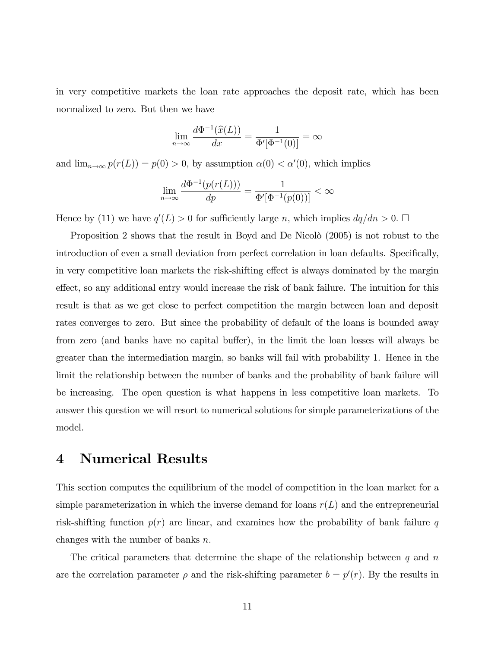in very competitive markets the loan rate approaches the deposit rate, which has been normalized to zero. But then we have

$$
\lim_{n \to \infty} \frac{d\Phi^{-1}(\widehat{x}(L))}{dx} = \frac{1}{\Phi'[\Phi^{-1}(0)]} = \infty
$$

and  $\lim_{n\to\infty} p(r(L)) = p(0) > 0$ , by assumption  $\alpha(0) < \alpha'(0)$ , which implies

$$
\lim_{n \to \infty} \frac{d\Phi^{-1}(p(r(L)))}{dp} = \frac{1}{\Phi'[\Phi^{-1}(p(0))]}<\infty
$$

Hence by (11) we have  $q'(L) > 0$  for sufficiently large n, which implies  $dq/dn > 0$ .  $\Box$ 

Proposition 2 shows that the result in Boyd and De Nicolò  $(2005)$  is not robust to the introduction of even a small deviation from perfect correlation in loan defaults. Specifically, in very competitive loan markets the risk-shifting effect is always dominated by the margin effect, so any additional entry would increase the risk of bank failure. The intuition for this result is that as we get close to perfect competition the margin between loan and deposit rates converges to zero. But since the probability of default of the loans is bounded away from zero (and banks have no capital buffer), in the limit the loan losses will always be greater than the intermediation margin, so banks will fail with probability 1. Hence in the limit the relationship between the number of banks and the probability of bank failure will be increasing. The open question is what happens in less competitive loan markets. To answer this question we will resort to numerical solutions for simple parameterizations of the model.

### 4 Numerical Results

This section computes the equilibrium of the model of competition in the loan market for a simple parameterization in which the inverse demand for loans  $r(L)$  and the entrepreneurial risk-shifting function  $p(r)$  are linear, and examines how the probability of bank failure q changes with the number of banks  $n$ .

The critical parameters that determine the shape of the relationship between q and  $n$ are the correlation parameter  $\rho$  and the risk-shifting parameter  $b = p'(r)$ . By the results in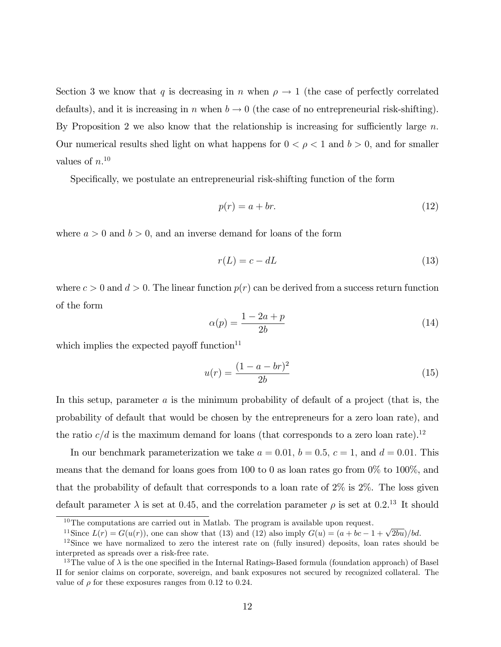Section 3 we know that q is decreasing in n when  $\rho \to 1$  (the case of perfectly correlated defaults), and it is increasing in n when  $b \to 0$  (the case of no entrepreneurial risk-shifting). By Proposition 2 we also know that the relationship is increasing for sufficiently large n. Our numerical results shed light on what happens for  $0 < \rho < 1$  and  $b > 0$ , and for smaller values of  $n^{10}$ 

Specifically, we postulate an entrepreneurial risk-shifting function of the form

$$
p(r) = a + br. \tag{12}
$$

where  $a > 0$  and  $b > 0$ , and an inverse demand for loans of the form

$$
r(L) = c - dL \tag{13}
$$

where  $c > 0$  and  $d > 0$ . The linear function  $p(r)$  can be derived from a success return function of the form

$$
\alpha(p) = \frac{1 - 2a + p}{2b} \tag{14}
$$

which implies the expected payoff function $11$ 

$$
u(r) = \frac{(1 - a - br)^2}{2b} \tag{15}
$$

In this setup, parameter  $a$  is the minimum probability of default of a project (that is, the probability of default that would be chosen by the entrepreneurs for a zero loan rate), and the ratio  $c/d$  is the maximum demand for loans (that corresponds to a zero loan rate).<sup>12</sup>

In our benchmark parameterization we take  $a = 0.01$ ,  $b = 0.5$ ,  $c = 1$ , and  $d = 0.01$ . This means that the demand for loans goes from 100 to 0 as loan rates go from  $0\%$  to 100%, and that the probability of default that corresponds to a loan rate of 2% is 2%. The loss given default parameter  $\lambda$  is set at 0.45, and the correlation parameter  $\rho$  is set at 0.2.<sup>13</sup> It should

 $10$ The computations are carried out in Matlab. The program is available upon request.

<sup>&</sup>lt;sup>11</sup>Since  $L(r) = G(u(r))$ , one can show that (13) and (12) also imply  $G(u) = (a + bc - 1 + \sqrt{2bu})/bd$ .

<sup>&</sup>lt;sup>12</sup>Since we have normalized to zero the interest rate on (fully insured) deposits, loan rates should be interpreted as spreads over a risk-free rate.

<sup>&</sup>lt;sup>13</sup>The value of  $\lambda$  is the one specified in the Internal Ratings-Based formula (foundation approach) of Basel II for senior claims on corporate, sovereign, and bank exposures not secured by recognized collateral. The value of  $\rho$  for these exposures ranges from 0.12 to 0.24.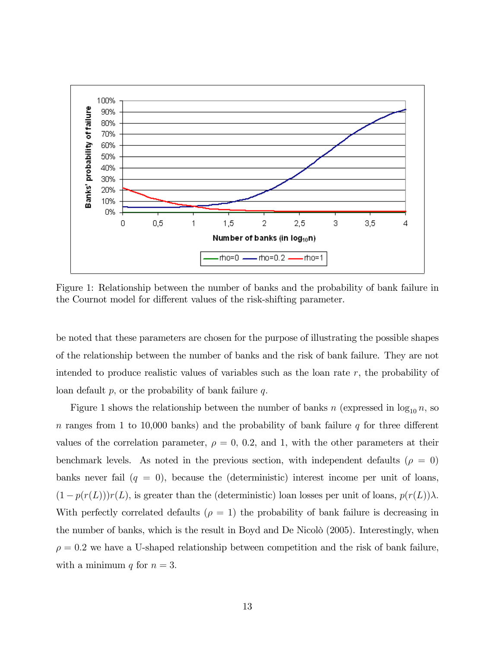

Figure 1: Relationship between the number of banks and the probability of bank failure in the Cournot model for different values of the risk-shifting parameter.

be noted that these parameters are chosen for the purpose of illustrating the possible shapes of the relationship between the number of banks and the risk of bank failure. They are not intended to produce realistic values of variables such as the loan rate  $r$ , the probability of loan default  $p$ , or the probability of bank failure  $q$ .

Figure 1 shows the relationship between the number of banks n (expressed in  $\log_{10} n$ , so n ranges from 1 to 10,000 banks) and the probability of bank failure q for three different values of the correlation parameter,  $\rho = 0$ , 0.2, and 1, with the other parameters at their benchmark levels. As noted in the previous section, with independent defaults ( $\rho = 0$ ) banks never fail  $(q = 0)$ , because the (deterministic) interest income per unit of loans,  $(1 - p(r(L)))r(L)$ , is greater than the (deterministic) loan losses per unit of loans,  $p(r(L))\lambda$ . With perfectly correlated defaults ( $\rho = 1$ ) the probability of bank failure is decreasing in the number of banks, which is the result in Boyd and De Nicolò  $(2005)$ . Interestingly, when  $\rho = 0.2$  we have a U-shaped relationship between competition and the risk of bank failure, with a minimum q for  $n = 3$ .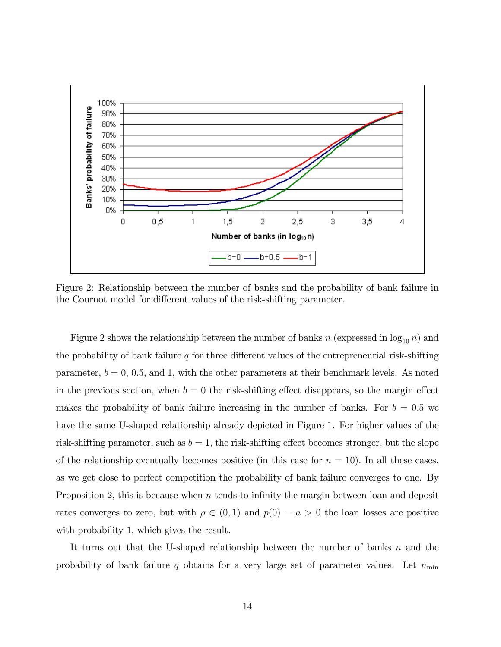

Figure 2: Relationship between the number of banks and the probability of bank failure in the Cournot model for different values of the risk-shifting parameter.

Figure 2 shows the relationship between the number of banks n (expressed in  $\log_{10} n$ ) and the probability of bank failure  $q$  for three different values of the entrepreneurial risk-shifting parameter,  $b = 0, 0.5,$  and 1, with the other parameters at their benchmark levels. As noted in the previous section, when  $b = 0$  the risk-shifting effect disappears, so the margin effect makes the probability of bank failure increasing in the number of banks. For  $b = 0.5$  we have the same U-shaped relationship already depicted in Figure 1. For higher values of the risk-shifting parameter, such as  $b = 1$ , the risk-shifting effect becomes stronger, but the slope of the relationship eventually becomes positive (in this case for  $n = 10$ ). In all these cases, as we get close to perfect competition the probability of bank failure converges to one. By Proposition 2, this is because when  $n$  tends to infinity the margin between loan and deposit rates converges to zero, but with  $\rho \in (0,1)$  and  $p(0) = a > 0$  the loan losses are positive with probability 1, which gives the result.

It turns out that the U-shaped relationship between the number of banks  $n$  and the probability of bank failure q obtains for a very large set of parameter values. Let  $n_{\min}$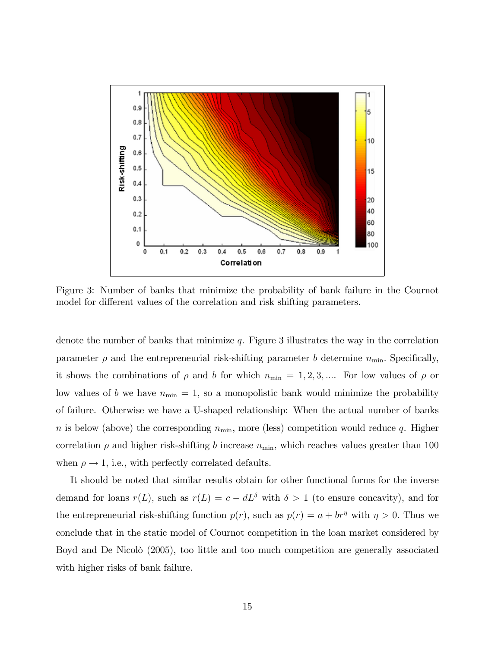

Figure 3: Number of banks that minimize the probability of bank failure in the Cournot model for different values of the correlation and risk shifting parameters.

denote the number of banks that minimize  $q$ . Figure 3 illustrates the way in the correlation parameter  $\rho$  and the entrepreneurial risk-shifting parameter b determine  $n_{\min}$ . Specifically, it shows the combinations of  $\rho$  and b for which  $n_{\min} = 1, 2, 3, \dots$ . For low values of  $\rho$  or low values of b we have  $n_{\min} = 1$ , so a monopolistic bank would minimize the probability of failure. Otherwise we have a U-shaped relationship: When the actual number of banks n is below (above) the corresponding  $n_{\min}$ , more (less) competition would reduce q. Higher correlation  $\rho$  and higher risk-shifting b increase  $n_{\text{min}}$ , which reaches values greater than 100 when  $\rho \rightarrow 1$ , i.e., with perfectly correlated defaults.

It should be noted that similar results obtain for other functional forms for the inverse demand for loans  $r(L)$ , such as  $r(L) = c - dL^{\delta}$  with  $\delta > 1$  (to ensure concavity), and for the entrepreneurial risk-shifting function  $p(r)$ , such as  $p(r) = a + br^{\eta}$  with  $\eta > 0$ . Thus we conclude that in the static model of Cournot competition in the loan market considered by Boyd and De Nicolò (2005), too little and too much competition are generally associated with higher risks of bank failure.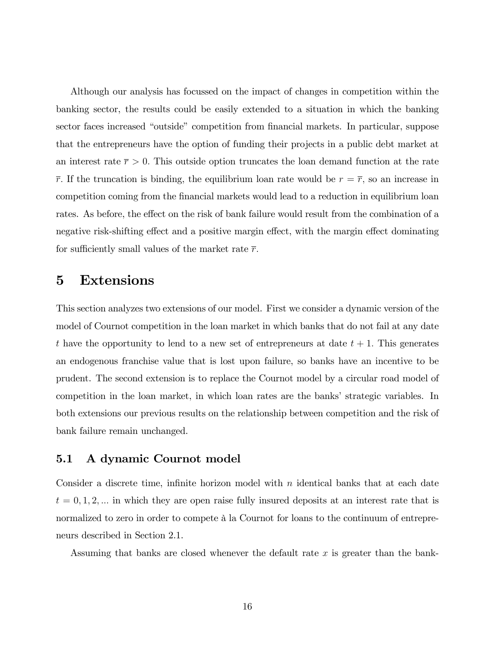Although our analysis has focussed on the impact of changes in competition within the banking sector, the results could be easily extended to a situation in which the banking sector faces increased "outside" competition from financial markets. In particular, suppose that the entrepreneurs have the option of funding their projects in a public debt market at an interest rate  $\bar{r} > 0$ . This outside option truncates the loan demand function at the rate  $\bar{r}$ . If the truncation is binding, the equilibrium loan rate would be  $r = \bar{r}$ , so an increase in competition coming from the Önancial markets would lead to a reduction in equilibrium loan rates. As before, the effect on the risk of bank failure would result from the combination of a negative risk-shifting effect and a positive margin effect, with the margin effect dominating for sufficiently small values of the market rate  $\bar{r}$ .

### 5 Extensions

This section analyzes two extensions of our model. First we consider a dynamic version of the model of Cournot competition in the loan market in which banks that do not fail at any date t have the opportunity to lend to a new set of entrepreneurs at date  $t + 1$ . This generates an endogenous franchise value that is lost upon failure, so banks have an incentive to be prudent. The second extension is to replace the Cournot model by a circular road model of competition in the loan market, in which loan rates are the banks' strategic variables. In both extensions our previous results on the relationship between competition and the risk of bank failure remain unchanged.

#### 5.1 A dynamic Cournot model

Consider a discrete time, infinite horizon model with  $n$  identical banks that at each date  $t = 0, 1, 2, \dots$  in which they are open raise fully insured deposits at an interest rate that is normalized to zero in order to compete à la Cournot for loans to the continuum of entrepreneurs described in Section 2.1.

Assuming that banks are closed whenever the default rate x is greater than the bank-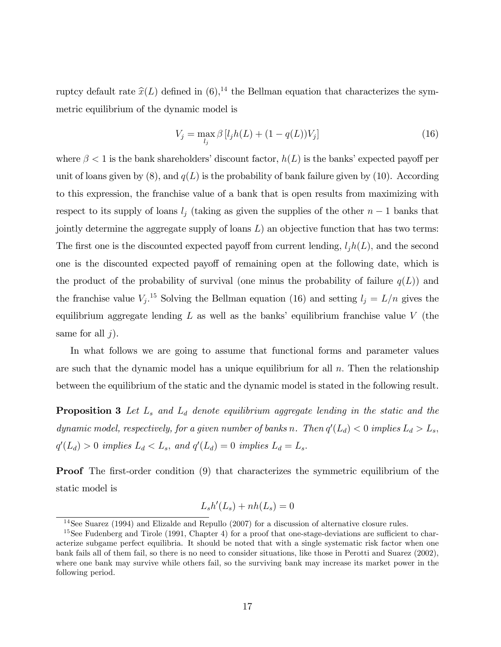ruptcy default rate  $\hat{x}(L)$  defined in  $(6),^{14}$  the Bellman equation that characterizes the symmetric equilibrium of the dynamic model is

$$
V_j = \max_{l_j} \beta [l_j h(L) + (1 - q(L))V_j]
$$
\n(16)

where  $\beta$  < 1 is the bank shareholders' discount factor,  $h(L)$  is the banks' expected payoff per unit of loans given by  $(8)$ , and  $q(L)$  is the probability of bank failure given by  $(10)$ . According to this expression, the franchise value of a bank that is open results from maximizing with respect to its supply of loans  $l_j$  (taking as given the supplies of the other  $n-1$  banks that jointly determine the aggregate supply of loans  $L$ ) an objective function that has two terms: The first one is the discounted expected payoff from current lending,  $l_i h(L)$ , and the second one is the discounted expected payoff of remaining open at the following date, which is the product of the probability of survival (one minus the probability of failure  $q(L)$ ) and the franchise value  $V_j$ <sup>15</sup> Solving the Bellman equation (16) and setting  $l_j = L/n$  gives the equilibrium aggregate lending  $L$  as well as the banks' equilibrium franchise value V (the same for all  $j$ ).

In what follows we are going to assume that functional forms and parameter values are such that the dynamic model has a unique equilibrium for all  $n$ . Then the relationship between the equilibrium of the static and the dynamic model is stated in the following result.

**Proposition 3** Let  $L_s$  and  $L_d$  denote equilibrium aggregate lending in the static and the dynamic model, respectively, for a given number of banks n. Then  $q'(L_d) < 0$  implies  $L_d > L_s$ ,  $q'(L_d) > 0$  implies  $L_d < L_s$ , and  $q'(L_d) = 0$  implies  $L_d = L_s$ .

**Proof** The first-order condition (9) that characterizes the symmetric equilibrium of the static model is

$$
L_s h'(L_s) + nh(L_s) = 0
$$

<sup>&</sup>lt;sup>14</sup>See Suarez (1994) and Elizalde and Repullo (2007) for a discussion of alternative closure rules.

<sup>&</sup>lt;sup>15</sup>See Fudenberg and Tirole (1991, Chapter 4) for a proof that one-stage-deviations are sufficient to characterize subgame perfect equilibria. It should be noted that with a single systematic risk factor when one bank fails all of them fail, so there is no need to consider situations, like those in Perotti and Suarez (2002), where one bank may survive while others fail, so the surviving bank may increase its market power in the following period.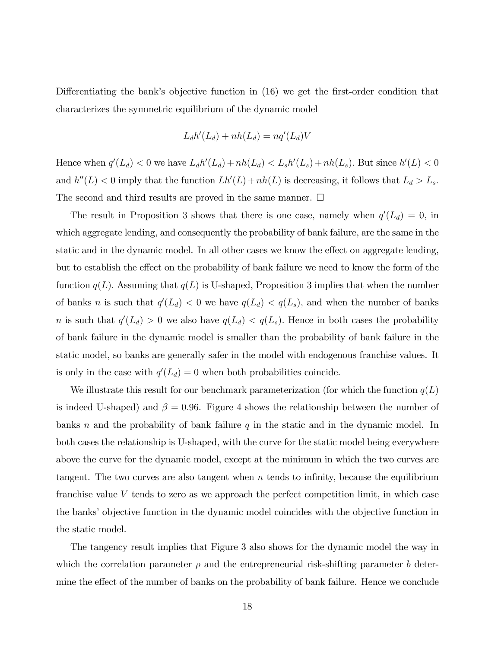Differentiating the bank's objective function in  $(16)$  we get the first-order condition that characterizes the symmetric equilibrium of the dynamic model

$$
L_d h'(L_d) + nh(L_d) = nq'(L_d)V
$$

Hence when  $q'(L_d) < 0$  we have  $L_d h'(L_d) + nh(L_d) < L_s h'(L_s) + nh(L_s)$ . But since  $h'(L) < 0$ and  $h''(L) < 0$  imply that the function  $Lh'(L) + nh(L)$  is decreasing, it follows that  $L_d > L_s$ . The second and third results are proved in the same manner.  $\Box$ 

The result in Proposition 3 shows that there is one case, namely when  $q'(L_d) = 0$ , in which aggregate lending, and consequently the probability of bank failure, are the same in the static and in the dynamic model. In all other cases we know the effect on aggregate lending, but to establish the effect on the probability of bank failure we need to know the form of the function  $q(L)$ . Assuming that  $q(L)$  is U-shaped, Proposition 3 implies that when the number of banks *n* is such that  $q'(L_d) < 0$  we have  $q(L_d) < q(L_s)$ , and when the number of banks *n* is such that  $q'(L_d) > 0$  we also have  $q(L_d) < q(L_s)$ . Hence in both cases the probability of bank failure in the dynamic model is smaller than the probability of bank failure in the static model, so banks are generally safer in the model with endogenous franchise values. It is only in the case with  $q'(L_d) = 0$  when both probabilities coincide.

We illustrate this result for our benchmark parameterization (for which the function  $q(L)$ ) is indeed U-shaped) and  $\beta = 0.96$ . Figure 4 shows the relationship between the number of banks n and the probability of bank failure  $q$  in the static and in the dynamic model. In both cases the relationship is U-shaped, with the curve for the static model being everywhere above the curve for the dynamic model, except at the minimum in which the two curves are tangent. The two curves are also tangent when  $n$  tends to infinity, because the equilibrium franchise value V tends to zero as we approach the perfect competition limit, in which case the banks' objective function in the dynamic model coincides with the objective function in the static model.

The tangency result implies that Figure 3 also shows for the dynamic model the way in which the correlation parameter  $\rho$  and the entrepreneurial risk-shifting parameter b determine the effect of the number of banks on the probability of bank failure. Hence we conclude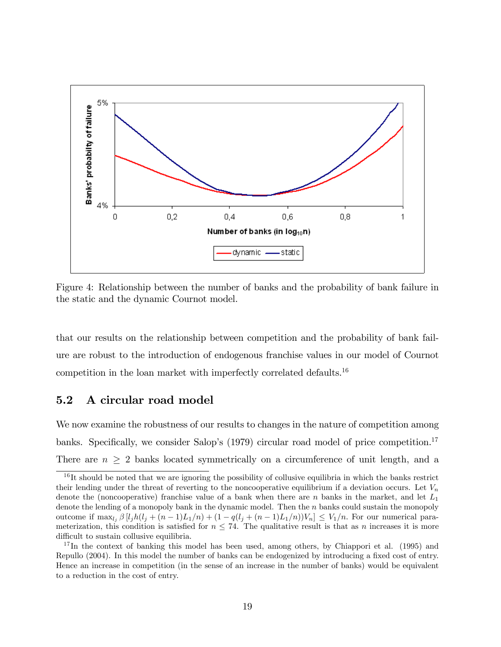

Figure 4: Relationship between the number of banks and the probability of bank failure in the static and the dynamic Cournot model.

that our results on the relationship between competition and the probability of bank failure are robust to the introduction of endogenous franchise values in our model of Cournot competition in the loan market with imperfectly correlated defaults.<sup>16</sup>

#### 5.2 A circular road model

We now examine the robustness of our results to changes in the nature of competition among banks. Specifically, we consider Salop's  $(1979)$  circular road model of price competition.<sup>17</sup> There are  $n \geq 2$  banks located symmetrically on a circumference of unit length, and a

<sup>&</sup>lt;sup>16</sup>It should be noted that we are ignoring the possibility of collusive equilibria in which the banks restrict their lending under the threat of reverting to the noncooperative equilibrium if a deviation occurs. Let  $V_n$ denote the (noncooperative) franchise value of a bank when there are n banks in the market, and let  $L_1$ denote the lending of a monopoly bank in the dynamic model. Then the  $n$  banks could sustain the monopoly outcome if  $\max_{l_i} \beta [l_j h(l_j + (n-1)L_1/n) + (1 - q(l_j + (n-1)L_1/n))V_n] \leq V_1/n$ . For our numerical parameterization, this condition is satisfied for  $n \leq 74$ . The qualitative result is that as n increases it is more difficult to sustain collusive equilibria.

 $17$  In the context of banking this model has been used, among others, by Chiappori et al. (1995) and Repullo (2004). In this model the number of banks can be endogenized by introducing a fixed cost of entry. Hence an increase in competition (in the sense of an increase in the number of banks) would be equivalent to a reduction in the cost of entry.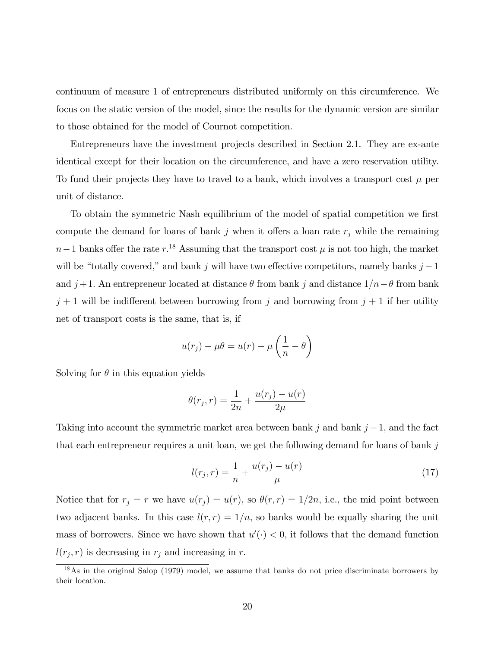continuum of measure 1 of entrepreneurs distributed uniformly on this circumference. We focus on the static version of the model, since the results for the dynamic version are similar to those obtained for the model of Cournot competition.

Entrepreneurs have the investment projects described in Section 2.1. They are ex-ante identical except for their location on the circumference, and have a zero reservation utility. To fund their projects they have to travel to a bank, which involves a transport cost  $\mu$  per unit of distance.

To obtain the symmetric Nash equilibrium of the model of spatial competition we first compute the demand for loans of bank  $j$  when it offers a loan rate  $r_j$  while the remaining  $n-1$  banks offer the rate  $r.^{18}$  Assuming that the transport cost  $\mu$  is not too high, the market will be "totally covered," and bank j will have two effective competitors, namely banks  $j - 1$ and  $j+1$ . An entrepreneur located at distance  $\theta$  from bank j and distance  $1/n - \theta$  from bank  $j + 1$  will be indifferent between borrowing from j and borrowing from  $j + 1$  if her utility net of transport costs is the same, that is, if

$$
u(r_j) - \mu \theta = u(r) - \mu \left(\frac{1}{n} - \theta\right)
$$

Solving for  $\theta$  in this equation yields

$$
\theta(r_j, r) = \frac{1}{2n} + \frac{u(r_j) - u(r)}{2\mu}
$$

Taking into account the symmetric market area between bank j and bank  $j-1$ , and the fact that each entrepreneur requires a unit loan, we get the following demand for loans of bank  $j$ 

$$
l(r_j, r) = \frac{1}{n} + \frac{u(r_j) - u(r)}{\mu}
$$
\n(17)

Notice that for  $r_j = r$  we have  $u(r_j) = u(r)$ , so  $\theta(r, r) = 1/2n$ , i.e., the mid point between two adjacent banks. In this case  $l(r, r) = 1/n$ , so banks would be equally sharing the unit mass of borrowers. Since we have shown that  $u'(\cdot) < 0$ , it follows that the demand function  $l(r_j, r)$  is decreasing in  $r_j$  and increasing in r.

<sup>18</sup>As in the original Salop (1979) model, we assume that banks do not price discriminate borrowers by their location.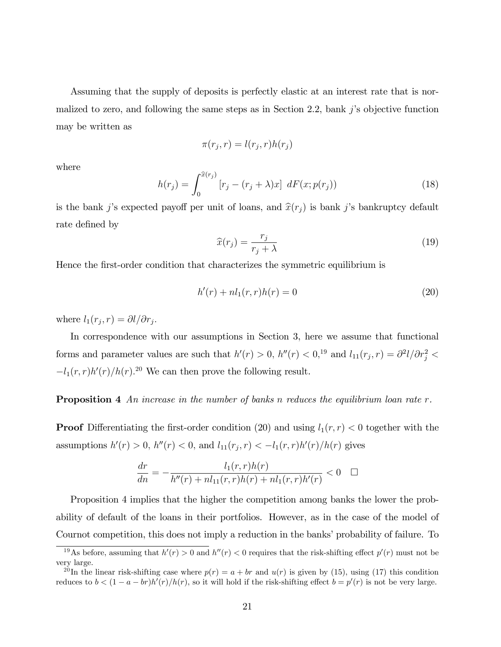Assuming that the supply of deposits is perfectly elastic at an interest rate that is normalized to zero, and following the same steps as in Section 2.2, bank  $j$ 's objective function may be written as

$$
\pi(r_j, r) = l(r_j, r)h(r_j)
$$

where

$$
h(r_j) = \int_0^{\hat{x}(r_j)} [r_j - (r_j + \lambda)x] \, dF(x; p(r_j)) \tag{18}
$$

is the bank j's expected payoff per unit of loans, and  $\hat{x}(r_j)$  is bank j's bankruptcy default rate defined by

$$
\widehat{x}(r_j) = \frac{r_j}{r_j + \lambda} \tag{19}
$$

Hence the first-order condition that characterizes the symmetric equilibrium is

$$
h'(r) + n l_1(r, r) h(r) = 0 \tag{20}
$$

where  $l_1(r_j, r) = \partial l / \partial r_j$ .

In correspondence with our assumptions in Section 3, here we assume that functional forms and parameter values are such that  $h'(r) > 0$ ,  $h''(r) < 0$ ,  $h''(r) < 0$ ,  $h''(r) < 0$ ,  $h''(r) = \frac{\partial^2 l}{\partial r_j^2} <$  $-l_1(r,r)h'(r)/h(r).^{20}$  We can then prove the following result.

**Proposition 4** An increase in the number of banks n reduces the equilibrium loan rate  $r$ .

**Proof** Differentiating the first-order condition (20) and using  $l_1(r,r) < 0$  together with the assumptions  $h'(r) > 0$ ,  $h''(r) < 0$ , and  $l_{11}(r_j, r) < -l_1(r, r)h'(r)/h(r)$  gives

$$
\frac{dr}{dn} = -\frac{l_1(r,r)h(r)}{h''(r) + nl_{11}(r,r)h(r) + nl_1(r,r)h'(r)} < 0 \quad \Box
$$

Proposition 4 implies that the higher the competition among banks the lower the probability of default of the loans in their portfolios. However, as in the case of the model of Cournot competition, this does not imply a reduction in the banks' probability of failure. To

<sup>&</sup>lt;sup>19</sup>As before, assuming that  $h'(r) > 0$  and  $h''(r) < 0$  requires that the risk-shifting effect  $p'(r)$  must not be very large.

<sup>&</sup>lt;sup>20</sup>In the linear risk-shifting case where  $p(r) = a + br$  and  $u(r)$  is given by (15), using (17) this condition reduces to  $b < (1 - a - br)h'(r)/h(r)$ , so it will hold if the risk-shifting effect  $b = p'(r)$  is not be very large.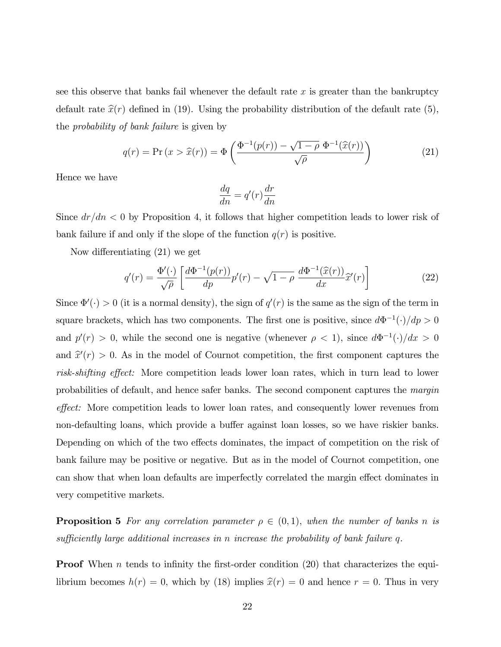see this observe that banks fail whenever the default rate  $x$  is greater than the bankruptcy default rate  $\hat{x}(r)$  defined in (19). Using the probability distribution of the default rate (5), the probability of bank failure is given by

$$
q(r) = \Pr(x > \hat{x}(r)) = \Phi\left(\frac{\Phi^{-1}(p(r)) - \sqrt{1 - \rho} \Phi^{-1}(\hat{x}(r))}{\sqrt{\rho}}\right) \tag{21}
$$

Hence we have

$$
\frac{dq}{dn} = q'(r)\frac{dr}{dn}
$$

Since  $dr/dn < 0$  by Proposition 4, it follows that higher competition leads to lower risk of bank failure if and only if the slope of the function  $q(r)$  is positive.

Now differentiating  $(21)$  we get

$$
q'(r) = \frac{\Phi'(\cdot)}{\sqrt{\rho}} \left[ \frac{d\Phi^{-1}(p(r))}{dp} p'(r) - \sqrt{1-\rho} \frac{d\Phi^{-1}(\widehat{x}(r))}{dx} \widehat{x}'(r) \right]
$$
(22)

Since  $\Phi'(\cdot) > 0$  (it is a normal density), the sign of  $q'(r)$  is the same as the sign of the term in square brackets, which has two components. The first one is positive, since  $d\Phi^{-1}(\cdot)/dp > 0$ and  $p'(r) > 0$ , while the second one is negative (whenever  $\rho < 1$ ), since  $d\Phi^{-1}(\cdot)/dx > 0$ and  $\hat{x}'(r) > 0$ . As in the model of Cournot competition, the first component captures the risk-shifting effect: More competition leads lower loan rates, which in turn lead to lower probabilities of default, and hence safer banks. The second component captures the margin effect: More competition leads to lower loan rates, and consequently lower revenues from non-defaulting loans, which provide a buffer against loan losses, so we have riskier banks. Depending on which of the two effects dominates, the impact of competition on the risk of bank failure may be positive or negative. But as in the model of Cournot competition, one can show that when loan defaults are imperfectly correlated the margin effect dominates in very competitive markets.

**Proposition 5** For any correlation parameter  $\rho \in (0,1)$ , when the number of banks n is sufficiently large additional increases in n increase the probability of bank failure  $q$ .

**Proof** When n tends to infinity the first-order condition  $(20)$  that characterizes the equilibrium becomes  $h(r) = 0$ , which by (18) implies  $\hat{x}(r) = 0$  and hence  $r = 0$ . Thus in very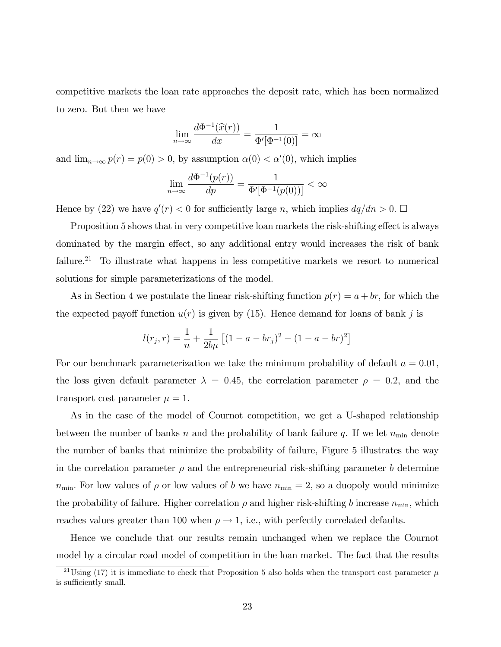competitive markets the loan rate approaches the deposit rate, which has been normalized to zero. But then we have

$$
\lim_{n \to \infty} \frac{d\Phi^{-1}(\widehat{x}(r))}{dx} = \frac{1}{\Phi'[\Phi^{-1}(0)]} = \infty
$$

and  $\lim_{n\to\infty} p(r) = p(0) > 0$ , by assumption  $\alpha(0) < \alpha'(0)$ , which implies

$$
\lim_{n \to \infty} \frac{d\Phi^{-1}(p(r))}{dp} = \frac{1}{\Phi'[\Phi^{-1}(p(0))] } < \infty
$$

Hence by (22) we have  $q'(r) < 0$  for sufficiently large n, which implies  $dq/dn > 0$ .  $\Box$ 

Proposition 5 shows that in very competitive loan markets the risk-shifting effect is always dominated by the margin effect, so any additional entry would increases the risk of bank failure.<sup>21</sup> To illustrate what happens in less competitive markets we resort to numerical solutions for simple parameterizations of the model.

As in Section 4 we postulate the linear risk-shifting function  $p(r) = a + br$ , for which the the expected payoff function  $u(r)$  is given by (15). Hence demand for loans of bank j is

$$
l(r_j, r) = \frac{1}{n} + \frac{1}{2b\mu} \left[ (1 - a - br_j)^2 - (1 - a - br)^2 \right]
$$

For our benchmark parameterization we take the minimum probability of default  $a = 0.01$ , the loss given default parameter  $\lambda = 0.45$ , the correlation parameter  $\rho = 0.2$ , and the transport cost parameter  $\mu = 1$ .

As in the case of the model of Cournot competition, we get a U-shaped relationship between the number of banks n and the probability of bank failure q. If we let  $n_{\min}$  denote the number of banks that minimize the probability of failure, Figure 5 illustrates the way in the correlation parameter  $\rho$  and the entrepreneurial risk-shifting parameter b determine  $n_{\text{min}}$ . For low values of  $\rho$  or low values of b we have  $n_{\text{min}} = 2$ , so a duopoly would minimize the probability of failure. Higher correlation  $\rho$  and higher risk-shifting b increase  $n_{\min}$ , which reaches values greater than 100 when  $\rho \rightarrow 1$ , i.e., with perfectly correlated defaults.

Hence we conclude that our results remain unchanged when we replace the Cournot model by a circular road model of competition in the loan market. The fact that the results

 $\frac{21 \text{Using } (17)}$  it is immediate to check that Proposition 5 also holds when the transport cost parameter  $\mu$ is sufficiently small.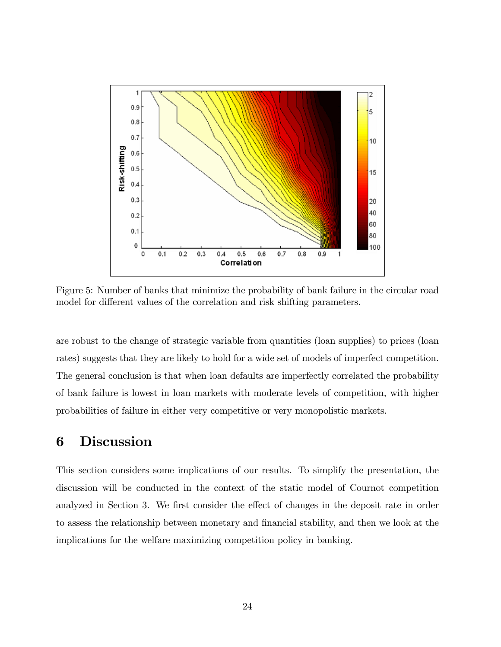

Figure 5: Number of banks that minimize the probability of bank failure in the circular road model for different values of the correlation and risk shifting parameters.

are robust to the change of strategic variable from quantities (loan supplies) to prices (loan rates) suggests that they are likely to hold for a wide set of models of imperfect competition. The general conclusion is that when loan defaults are imperfectly correlated the probability of bank failure is lowest in loan markets with moderate levels of competition, with higher probabilities of failure in either very competitive or very monopolistic markets.

## 6 Discussion

This section considers some implications of our results. To simplify the presentation, the discussion will be conducted in the context of the static model of Cournot competition analyzed in Section 3. We first consider the effect of changes in the deposit rate in order to assess the relationship between monetary and Önancial stability, and then we look at the implications for the welfare maximizing competition policy in banking.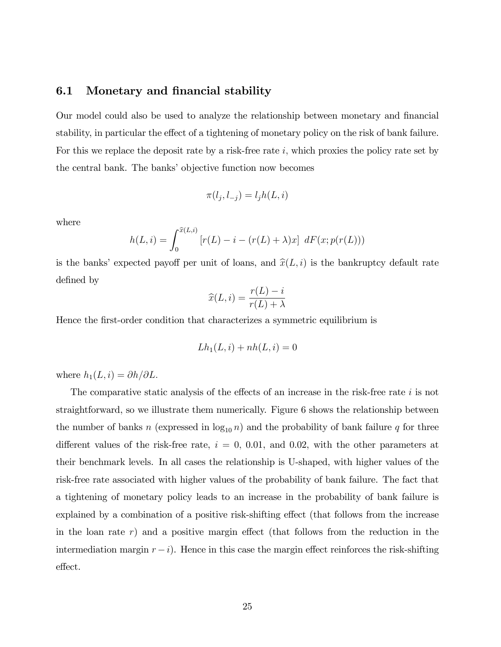#### 6.1 Monetary and financial stability

Our model could also be used to analyze the relationship between monetary and financial stability, in particular the effect of a tightening of monetary policy on the risk of bank failure. For this we replace the deposit rate by a risk-free rate i, which proxies the policy rate set by the central bank. The banks' objective function now becomes

$$
\pi(l_j, l_{-j}) = l_j h(L, i)
$$

where

$$
h(L, i) = \int_0^{\widehat{x}(L, i)} [r(L) - i - (r(L) + \lambda)x] \, dF(x; p(r(L)))
$$

is the banks' expected payoff per unit of loans, and  $\hat{x}(L, i)$  is the bankruptcy default rate defined by

$$
\widehat{x}(L,i) = \frac{r(L) - i}{r(L) + \lambda}
$$

Hence the Örst-order condition that characterizes a symmetric equilibrium is

$$
Lh_1(L,i) + nh(L,i) = 0
$$

where  $h_1(L, i) = \partial h/\partial L$ .

The comparative static analysis of the effects of an increase in the risk-free rate  $i$  is not straightforward, so we illustrate them numerically. Figure 6 shows the relationship between the number of banks n (expressed in  $log_{10} n$ ) and the probability of bank failure q for three different values of the risk-free rate,  $i = 0, 0.01,$  and 0.02, with the other parameters at their benchmark levels. In all cases the relationship is U-shaped, with higher values of the risk-free rate associated with higher values of the probability of bank failure. The fact that a tightening of monetary policy leads to an increase in the probability of bank failure is explained by a combination of a positive risk-shifting effect (that follows from the increase in the loan rate  $r$ ) and a positive margin effect (that follows from the reduction in the intermediation margin  $r - i$ ). Hence in this case the margin effect reinforces the risk-shifting effect.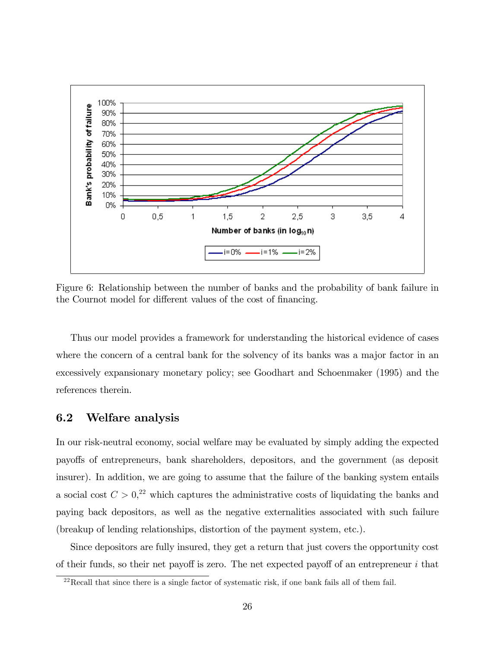

Figure 6: Relationship between the number of banks and the probability of bank failure in the Cournot model for different values of the cost of financing.

Thus our model provides a framework for understanding the historical evidence of cases where the concern of a central bank for the solvency of its banks was a major factor in an excessively expansionary monetary policy; see Goodhart and Schoenmaker (1995) and the references therein.

#### 6.2 Welfare analysis

In our risk-neutral economy, social welfare may be evaluated by simply adding the expected payo§s of entrepreneurs, bank shareholders, depositors, and the government (as deposit insurer). In addition, we are going to assume that the failure of the banking system entails a social cost  $C > 0<sup>22</sup>$  which captures the administrative costs of liquidating the banks and paying back depositors, as well as the negative externalities associated with such failure (breakup of lending relationships, distortion of the payment system, etc.).

Since depositors are fully insured, they get a return that just covers the opportunity cost of their funds, so their net payoff is zero. The net expected payoff of an entrepreneur  $i$  that

 $^{22}$ Recall that since there is a single factor of systematic risk, if one bank fails all of them fail.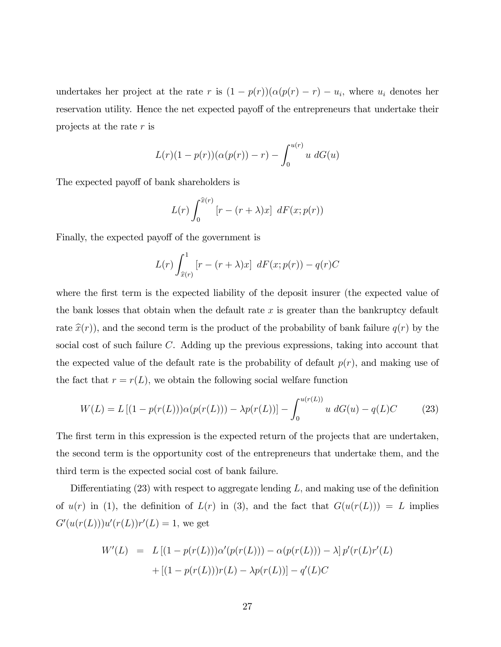undertakes her project at the rate r is  $(1 - p(r))(\alpha(p(r) - r) - u_i)$ , where  $u_i$  denotes her reservation utility. Hence the net expected payoff of the entrepreneurs that undertake their projects at the rate r is

$$
L(r)(1 - p(r))(\alpha(p(r)) - r) - \int_0^{u(r)} u \, dG(u)
$$

The expected payoff of bank shareholders is

$$
L(r)\int_0^{\widehat{x}(r)}\left[r - (r+\lambda)x\right] dF(x;p(r))
$$

Finally, the expected payoff of the government is

$$
L(r)\int_{\widehat{x}(r)}^{1} \left[r - (r+\lambda)x\right] dF(x;p(r)) - q(r)C
$$

where the first term is the expected liability of the deposit insurer (the expected value of the bank losses that obtain when the default rate  $x$  is greater than the bankruptcy default rate  $\hat{x}(r)$ , and the second term is the product of the probability of bank failure  $q(r)$  by the social cost of such failure C. Adding up the previous expressions, taking into account that the expected value of the default rate is the probability of default  $p(r)$ , and making use of the fact that  $r = r(L)$ , we obtain the following social welfare function

$$
W(L) = L [(1 - p(r(L))) \alpha(p(r(L))) - \lambda p(r(L))] - \int_0^{u(r(L))} u \ dG(u) - q(L)C \qquad (23)
$$

The first term in this expression is the expected return of the projects that are undertaken, the second term is the opportunity cost of the entrepreneurs that undertake them, and the third term is the expected social cost of bank failure.

Differentiating  $(23)$  with respect to aggregate lending L, and making use of the definition of  $u(r)$  in (1), the definition of  $L(r)$  in (3), and the fact that  $G(u(r(L))) = L$  implies  $G'(u(r(L)))u'(r(L))r'(L) = 1$ , we get

$$
W'(L) = L [(1 - p(r(L)))\alpha'(p(r(L))) - \alpha(p(r(L))) - \lambda] p'(r(L)r'(L) + [(1 - p(r(L)))r(L) - \lambda p(r(L))] - q'(L)C
$$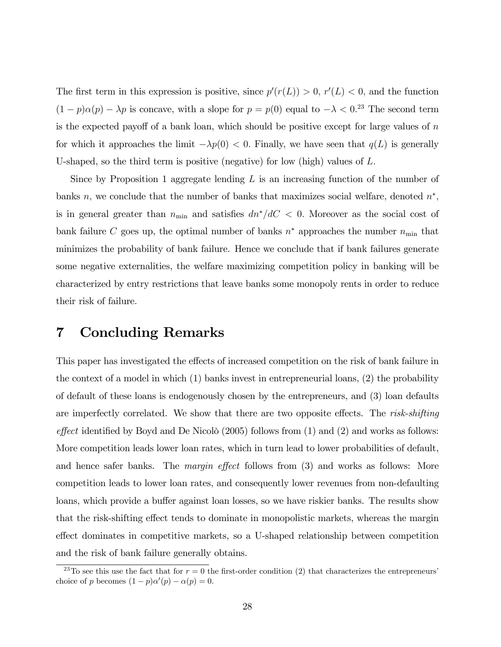The first term in this expression is positive, since  $p'(r(L)) > 0$ ,  $r'(L) < 0$ , and the function  $(1-p)\alpha(p) - \lambda p$  is concave, with a slope for  $p = p(0)$  equal to  $-\lambda < 0.^{23}$  The second term is the expected payoff of a bank loan, which should be positive except for large values of  $n$ for which it approaches the limit  $-\lambda p(0) < 0$ . Finally, we have seen that  $q(L)$  is generally U-shaped, so the third term is positive (negative) for low (high) values of  $L$ .

Since by Proposition 1 aggregate lending  $L$  is an increasing function of the number of banks n, we conclude that the number of banks that maximizes social welfare, denoted  $n^*$ , is in general greater than  $n_{\min}$  and satisfies  $dn^*/dC < 0$ . Moreover as the social cost of bank failure C goes up, the optimal number of banks  $n^*$  approaches the number  $n_{\min}$  that minimizes the probability of bank failure. Hence we conclude that if bank failures generate some negative externalities, the welfare maximizing competition policy in banking will be characterized by entry restrictions that leave banks some monopoly rents in order to reduce their risk of failure.

#### 7 Concluding Remarks

This paper has investigated the effects of increased competition on the risk of bank failure in the context of a model in which (1) banks invest in entrepreneurial loans, (2) the probability of default of these loans is endogenously chosen by the entrepreneurs, and (3) loan defaults are imperfectly correlated. We show that there are two opposite effects. The risk-shifting effect identified by Boyd and De Nicolò (2005) follows from  $(1)$  and  $(2)$  and works as follows: More competition leads lower loan rates, which in turn lead to lower probabilities of default, and hence safer banks. The *margin effect* follows from  $(3)$  and works as follows: More competition leads to lower loan rates, and consequently lower revenues from non-defaulting loans, which provide a buffer against loan losses, so we have riskier banks. The results show that the risk-shifting effect tends to dominate in monopolistic markets, whereas the margin effect dominates in competitive markets, so a U-shaped relationship between competition and the risk of bank failure generally obtains.

<sup>&</sup>lt;sup>23</sup>To see this use the fact that for  $r = 0$  the first-order condition (2) that characterizes the entrepreneurs<sup>'</sup> choice of p becomes  $(1-p)\alpha'(p) - \alpha(p) = 0.$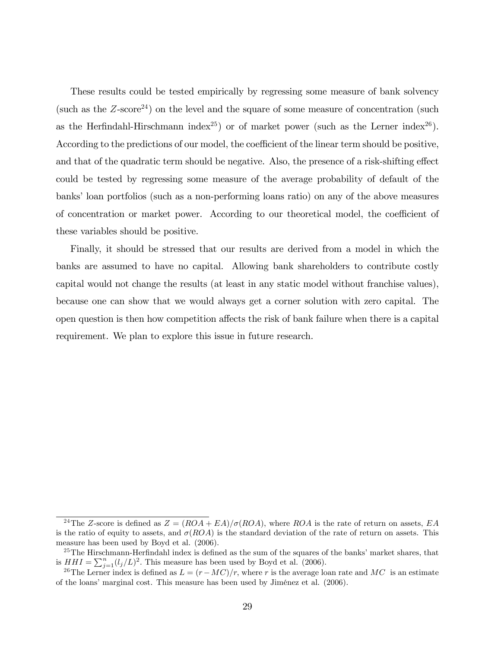These results could be tested empirically by regressing some measure of bank solvency (such as the  $Z\text{-score}^{24}$ ) on the level and the square of some measure of concentration (such as the Herfindahl-Hirschmann index<sup>25</sup>) or of market power (such as the Lerner index<sup>26</sup>). According to the predictions of our model, the coefficient of the linear term should be positive, and that of the quadratic term should be negative. Also, the presence of a risk-shifting effect could be tested by regressing some measure of the average probability of default of the banks' loan portfolios (such as a non-performing loans ratio) on any of the above measures of concentration or market power. According to our theoretical model, the coefficient of these variables should be positive.

Finally, it should be stressed that our results are derived from a model in which the banks are assumed to have no capital. Allowing bank shareholders to contribute costly capital would not change the results (at least in any static model without franchise values), because one can show that we would always get a corner solution with zero capital. The open question is then how competition a§ects the risk of bank failure when there is a capital requirement. We plan to explore this issue in future research.

<sup>&</sup>lt;sup>24</sup>The Z-score is defined as  $Z = (ROA + EA)/\sigma (ROA)$ , where ROA is the rate of return on assets, EA is the ratio of equity to assets, and  $\sigma(ROA)$  is the standard deviation of the rate of return on assets. This measure has been used by Boyd et al. (2006).

 $25$ The Hirschmann-Herfindahl index is defined as the sum of the squares of the banks' market shares, that is  $HHI = \sum_{j=1}^{n} (l_j/L)^2$ . This measure has been used by Boyd et al. (2006).

<sup>&</sup>lt;sup>26</sup>The Lerner index is defined as  $L = (r-MC)/r$ , where r is the average loan rate and MC is an estimate of the loans' marginal cost. This measure has been used by Jiménez et al. (2006).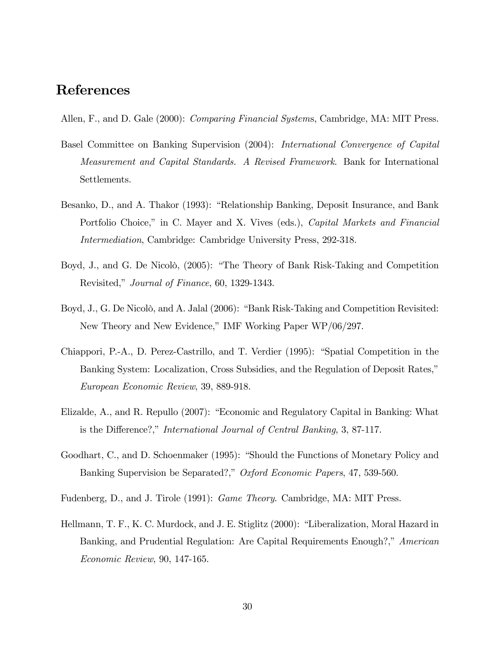### References

Allen, F., and D. Gale (2000): *Comparing Financial Systems*, Cambridge, MA: MIT Press.

- Basel Committee on Banking Supervision (2004): International Convergence of Capital Measurement and Capital Standards. A Revised Framework. Bank for International Settlements.
- Besanko, D., and A. Thakor (1993): "Relationship Banking, Deposit Insurance, and Bank Portfolio Choice," in C. Mayer and X. Vives (eds.), *Capital Markets and Financial* Intermediation, Cambridge: Cambridge University Press, 292-318.
- Boyd, J., and G. De Nicolò, (2005): "The Theory of Bank Risk-Taking and Competition Revisited," Journal of Finance, 60, 1329-1343.
- Boyd, J., G. De Nicolò, and A. Jalal (2006): "Bank Risk-Taking and Competition Revisited: New Theory and New Evidence," IMF Working Paper WP/06/297.
- Chiappori, P.-A., D. Perez-Castrillo, and T. Verdier (1995): "Spatial Competition in the Banking System: Localization, Cross Subsidies, and the Regulation of Deposit Rates," European Economic Review, 39, 889-918.
- Elizalde, A., and R. Repullo (2007): "Economic and Regulatory Capital in Banking: What is the Difference?," International Journal of Central Banking, 3, 87-117.
- Goodhart, C., and D. Schoenmaker (1995): "Should the Functions of Monetary Policy and Banking Supervision be Separated?," Oxford Economic Papers, 47, 539-560.
- Fudenberg, D., and J. Tirole (1991): Game Theory. Cambridge, MA: MIT Press.
- Hellmann, T. F., K. C. Murdock, and J. E. Stiglitz (2000): "Liberalization, Moral Hazard in Banking, and Prudential Regulation: Are Capital Requirements Enough?," American Economic Review, 90, 147-165.